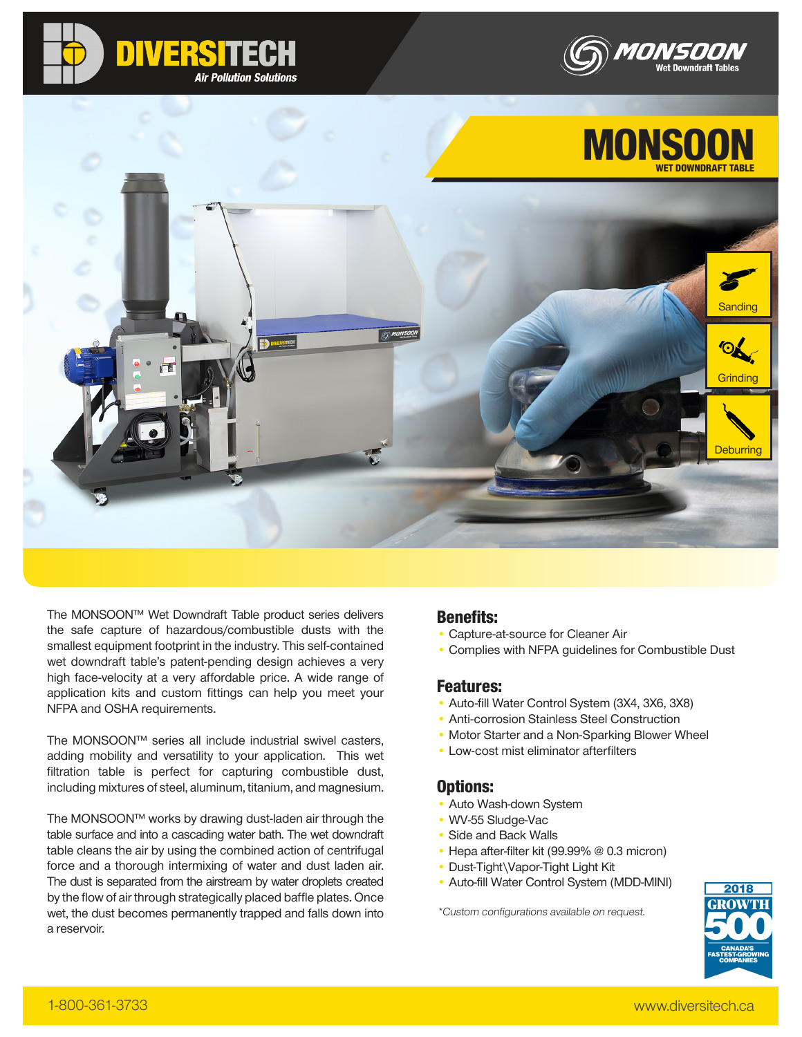







The MONSOON™ Wet Downdraft Table product series delivers the safe capture of hazardous/combustible dusts with the smallest equipment footprint in the industry. This self-contained wet downdraft table's patent-pending design achieves a very high face-velocity at a very affordable price. A wide range of application kits and custom fittings can help you meet your NFPA and OSHA requirements.

The MONSOON™ series all include industrial swivel casters, adding mobility and versatility to your application. This wet filtration table is perfect for capturing combustible dust, including mixtures of steel, aluminum, titanium, and magnesium.

The MONSOON™ works by drawing dust-laden air through the table surface and into a cascading water bath. The wet downdraft table cleans the air by using the combined action of centrifugal force and a thorough intermixing of water and dust laden air. The dust is separated from the airstream by water droplets created by the flow of air through strategically placed baffle plates. Once wet, the dust becomes permanently trapped and falls down into a reservoir.

### Benefits:

- Capture-at-source for Cleaner Air
- Complies with NFPA guidelines for Combustible Dust

### Features:

- Auto-fill Water Control System (3X4, 3X6, 3X8)
- Anti-corrosion Stainless Steel Construction
- Motor Starter and a Non-Sparking Blower Wheel
- Low-cost mist eliminator afterfilters

### Options:

- Auto Wash-down System
- WV-55 Sludge-Vac
- Side and Back Walls
- Hepa after-filter kit (99.99% @ 0.3 micron)
- Dust-Tight\Vapor-Tight Light Kit
- Auto-fill Water Control System (MDD-MINI)

\*Custom configurations available on request.